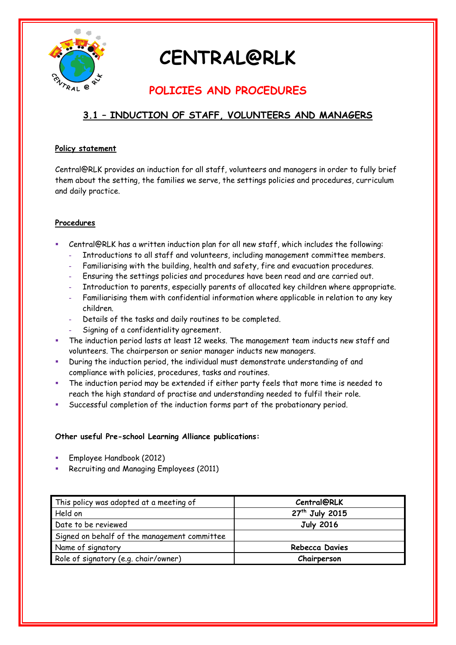

# **CENTRAL@RLK**

### **POLICIES AND PROCEDURES**

### **3.1 – INDUCTION OF STAFF, VOLUNTEERS AND MANAGERS**

#### **Policy statement**

Central@RLK provides an induction for all staff, volunteers and managers in order to fully brief them about the setting, the families we serve, the settings policies and procedures, curriculum and daily practice.

#### **Procedures**

- Central@RLK has a written induction plan for all new staff, which includes the following:
	- **-** Introductions to all staff and volunteers, including management committee members.
	- **-** Familiarising with the building, health and safety, fire and evacuation procedures.
	- **-** Ensuring the settings policies and procedures have been read and are carried out.
	- **-** Introduction to parents, especially parents of allocated key children where appropriate.
	- **-** Familiarising them with confidential information where applicable in relation to any key children.
	- **-** Details of the tasks and daily routines to be completed.
	- **-** Signing of a confidentiality agreement.
- The induction period lasts at least 12 weeks. The management team inducts new staff and volunteers. The chairperson or senior manager inducts new managers.
- During the induction period, the individual must demonstrate understanding of and compliance with policies, procedures, tasks and routines.
- The induction period may be extended if either party feels that more time is needed to reach the high standard of practise and understanding needed to fulfil their role.
- Successful completion of the induction forms part of the probationary period.

#### **Other useful Pre-school Learning Alliance publications:**

- Employee Handbook (2012)
- Recruiting and Managing Employees (2011)

| This policy was adopted at a meeting of      | <b>Central@RLK</b>         |
|----------------------------------------------|----------------------------|
| Held on                                      | 27 <sup>th</sup> July 2015 |
| Date to be reviewed                          | <b>July 2016</b>           |
| Signed on behalf of the management committee |                            |
| Name of signatory                            | <b>Rebecca Davies</b>      |
| Role of signatory (e.g. chair/owner)         | Chairperson                |